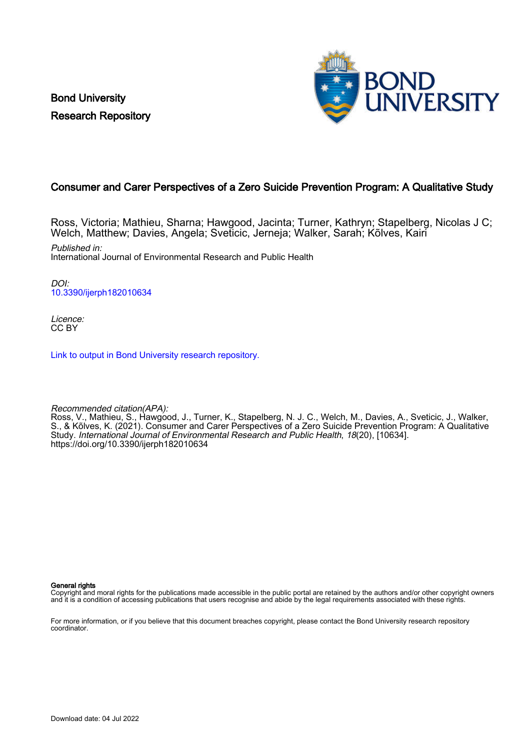Bond University Research Repository



# Consumer and Carer Perspectives of a Zero Suicide Prevention Program: A Qualitative Study

Ross, Victoria; Mathieu, Sharna; Hawgood, Jacinta; Turner, Kathryn; Stapelberg, Nicolas J C; Welch, Matthew; Davies, Angela; Sveticic, Jerneja; Walker, Sarah; Kõlves, Kairi

Published in: International Journal of Environmental Research and Public Health

DOI: [10.3390/ijerph182010634](https://doi.org/10.3390/ijerph182010634)

Licence: CC BY

[Link to output in Bond University research repository.](https://research.bond.edu.au/en/publications/d9baf239-9d6f-4ee0-b3a8-dfe0621601a0)

Recommended citation(APA):

Ross, V., Mathieu, S., Hawgood, J., Turner, K., Stapelberg, N. J. C., Welch, M., Davies, A., Sveticic, J., Walker, S., & Kõlves, K. (2021). Consumer and Carer Perspectives of a Zero Suicide Prevention Program: A Qualitative Study. International Journal of Environmental Research and Public Health, 18(20), [10634]. <https://doi.org/10.3390/ijerph182010634>

General rights

Copyright and moral rights for the publications made accessible in the public portal are retained by the authors and/or other copyright owners and it is a condition of accessing publications that users recognise and abide by the legal requirements associated with these rights.

For more information, or if you believe that this document breaches copyright, please contact the Bond University research repository coordinator.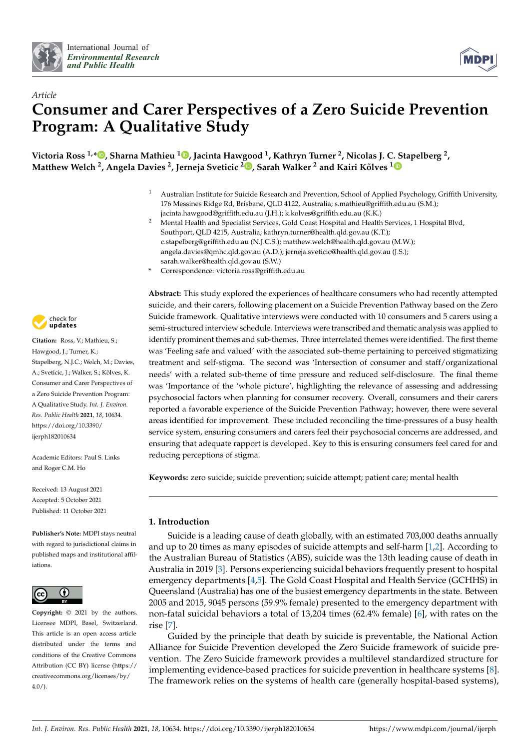



# *Article* **Consumer and Carer Perspectives of a Zero Suicide Prevention Program: A Qualitative Study**

**Victoria Ross 1,[\\*](https://orcid.org/0000-0002-6768-1205) , Sharna Mathieu [1](https://orcid.org/0000-0003-0784-0638) , Jacinta Hawgood <sup>1</sup> , Kathryn Turner <sup>2</sup> , Nicolas J. C. Stapelberg <sup>2</sup> , Matthew Welch <sup>2</sup> , Angela Davies <sup>2</sup> , Jerneja Sveticic <sup>2</sup> [,](https://orcid.org/0000-0002-7378-3582) Sarah Walker <sup>2</sup> and Kairi Kõlves [1](https://orcid.org/0000-0002-1638-8981)**

- <sup>1</sup> Australian Institute for Suicide Research and Prevention, School of Applied Psychology, Griffith University, 176 Messines Ridge Rd, Brisbane, QLD 4122, Australia; s.mathieu@griffith.edu.au (S.M.); jacinta.hawgood@griffith.edu.au (J.H.); k.kolves@griffith.edu.au (K.K.)
- <sup>2</sup> Mental Health and Specialist Services, Gold Coast Hospital and Health Services, 1 Hospital Blvd, Southport, QLD 4215, Australia; kathryn.turner@health.qld.gov.au (K.T.); c.stapelberg@griffith.edu.au (N.J.C.S.); matthew.welch@health.qld.gov.au (M.W.); angela.davies@qmhc.qld.gov.au (A.D.); jerneja.sveticic@health.qld.gov.au (J.S.); sarah.walker@health.qld.gov.au (S.W.)
- **\*** Correspondence: victoria.ross@griffith.edu.au



**Citation:** Ross, V.; Mathieu, S.; Hawgood, J.; Turner, K.; Stapelberg, N.J.C.; Welch, M.; Davies, A.; Sveticic, J.; Walker, S.; Kõlves, K. Consumer and Carer Perspectives of a Zero Suicide Prevention Program: A Qualitative Study. *Int. J. Environ. Res. Public Health* **2021**, *18*, 10634. [https://doi.org/10.3390/](https://doi.org/10.3390/ijerph182010634) [ijerph182010634](https://doi.org/10.3390/ijerph182010634)

Academic Editors: Paul S. Links and Roger C.M. Ho

Received: 13 August 2021 Accepted: 5 October 2021 Published: 11 October 2021

**Publisher's Note:** MDPI stays neutral with regard to jurisdictional claims in published maps and institutional affiliations.



**Copyright:** © 2021 by the authors. Licensee MDPI, Basel, Switzerland. This article is an open access article distributed under the terms and conditions of the Creative Commons Attribution (CC BY) license (https:/[/](https://creativecommons.org/licenses/by/4.0/) [creativecommons.org/licenses/by/](https://creativecommons.org/licenses/by/4.0/) 4.0/).

**Abstract:** This study explored the experiences of healthcare consumers who had recently attempted suicide, and their carers, following placement on a Suicide Prevention Pathway based on the Zero Suicide framework. Qualitative interviews were conducted with 10 consumers and 5 carers using a semi-structured interview schedule. Interviews were transcribed and thematic analysis was applied to identify prominent themes and sub-themes. Three interrelated themes were identified. The first theme was 'Feeling safe and valued' with the associated sub-theme pertaining to perceived stigmatizing treatment and self-stigma. The second was 'Intersection of consumer and staff/organizational needs' with a related sub-theme of time pressure and reduced self-disclosure. The final theme was 'Importance of the 'whole picture', highlighting the relevance of assessing and addressing psychosocial factors when planning for consumer recovery. Overall, consumers and their carers reported a favorable experience of the Suicide Prevention Pathway; however, there were several areas identified for improvement. These included reconciling the time-pressures of a busy health service system, ensuring consumers and carers feel their psychosocial concerns are addressed, and ensuring that adequate rapport is developed. Key to this is ensuring consumers feel cared for and reducing perceptions of stigma.

**Keywords:** zero suicide; suicide prevention; suicide attempt; patient care; mental health

## **1. Introduction**

Suicide is a leading cause of death globally, with an estimated 703,000 deaths annually and up to 20 times as many episodes of suicide attempts and self-harm  $[1,2]$  $[1,2]$ . According to the Australian Bureau of Statistics (ABS), suicide was the 13th leading cause of death in Australia in 2019 [\[3\]](#page-10-2). Persons experiencing suicidal behaviors frequently present to hospital emergency departments [\[4,](#page-10-3)[5\]](#page-10-4). The Gold Coast Hospital and Health Service (GCHHS) in Queensland (Australia) has one of the busiest emergency departments in the state. Between 2005 and 2015, 9045 persons (59.9% female) presented to the emergency department with non-fatal suicidal behaviors a total of 13,204 times (62.4% female) [\[6\]](#page-10-5), with rates on the rise [\[7\]](#page-10-6).

Guided by the principle that death by suicide is preventable, the National Action Alliance for Suicide Prevention developed the Zero Suicide framework of suicide prevention. The Zero Suicide framework provides a multilevel standardized structure for implementing evidence-based practices for suicide prevention in healthcare systems [\[8\]](#page-10-7). The framework relies on the systems of health care (generally hospital-based systems),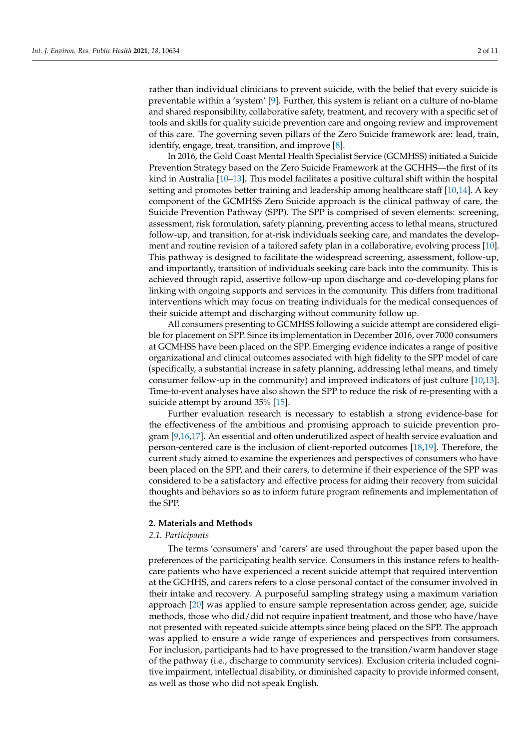rather than individual clinicians to prevent suicide, with the belief that every suicide is preventable within a 'system' [\[9\]](#page-10-8). Further, this system is reliant on a culture of no-blame and shared responsibility, collaborative safety, treatment, and recovery with a specific set of tools and skills for quality suicide prevention care and ongoing review and improvement of this care. The governing seven pillars of the Zero Suicide framework are: lead, train, identify, engage, treat, transition, and improve [\[8\]](#page-10-7).

In 2016, the Gold Coast Mental Health Specialist Service (GCMHSS) initiated a Suicide Prevention Strategy based on the Zero Suicide Framework at the GCHHS—the first of its kind in Australia [\[10–](#page-10-9)[13\]](#page-10-10). This model facilitates a positive cultural shift within the hospital setting and promotes better training and leadership among healthcare staff [\[10](#page-10-9)[,14\]](#page-10-11). A key component of the GCMHSS Zero Suicide approach is the clinical pathway of care, the Suicide Prevention Pathway (SPP). The SPP is comprised of seven elements: screening, assessment, risk formulation, safety planning, preventing access to lethal means, structured follow-up, and transition, for at-risk individuals seeking care, and mandates the development and routine revision of a tailored safety plan in a collaborative, evolving process [\[10\]](#page-10-9). This pathway is designed to facilitate the widespread screening, assessment, follow-up, and importantly, transition of individuals seeking care back into the community. This is achieved through rapid, assertive follow-up upon discharge and co-developing plans for linking with ongoing supports and services in the community. This differs from traditional interventions which may focus on treating individuals for the medical consequences of their suicide attempt and discharging without community follow up.

All consumers presenting to GCMHSS following a suicide attempt are considered eligible for placement on SPP. Since its implementation in December 2016, over 7000 consumers at GCMHSS have been placed on the SPP. Emerging evidence indicates a range of positive organizational and clinical outcomes associated with high fidelity to the SPP model of care (specifically, a substantial increase in safety planning, addressing lethal means, and timely consumer follow-up in the community) and improved indicators of just culture [\[10,](#page-10-9)[13\]](#page-10-10). Time-to-event analyses have also shown the SPP to reduce the risk of re-presenting with a suicide attempt by around 35% [\[15\]](#page-10-12).

Further evaluation research is necessary to establish a strong evidence-base for the effectiveness of the ambitious and promising approach to suicide prevention program [\[9,](#page-10-8)[16](#page-10-13)[,17\]](#page-10-14). An essential and often underutilized aspect of health service evaluation and person-centered care is the inclusion of client-reported outcomes [\[18](#page-10-15)[,19\]](#page-10-16). Therefore, the current study aimed to examine the experiences and perspectives of consumers who have been placed on the SPP, and their carers, to determine if their experience of the SPP was considered to be a satisfactory and effective process for aiding their recovery from suicidal thoughts and behaviors so as to inform future program refinements and implementation of the SPP.

#### **2. Materials and Methods**

### *2.1. Participants*

The terms 'consumers' and 'carers' are used throughout the paper based upon the preferences of the participating health service. Consumers in this instance refers to healthcare patients who have experienced a recent suicide attempt that required intervention at the GCHHS, and carers refers to a close personal contact of the consumer involved in their intake and recovery. A purposeful sampling strategy using a maximum variation approach [\[20\]](#page-10-17) was applied to ensure sample representation across gender, age, suicide methods, those who did/did not require inpatient treatment, and those who have/have not presented with repeated suicide attempts since being placed on the SPP. The approach was applied to ensure a wide range of experiences and perspectives from consumers. For inclusion, participants had to have progressed to the transition/warm handover stage of the pathway (i.e., discharge to community services). Exclusion criteria included cognitive impairment, intellectual disability, or diminished capacity to provide informed consent, as well as those who did not speak English.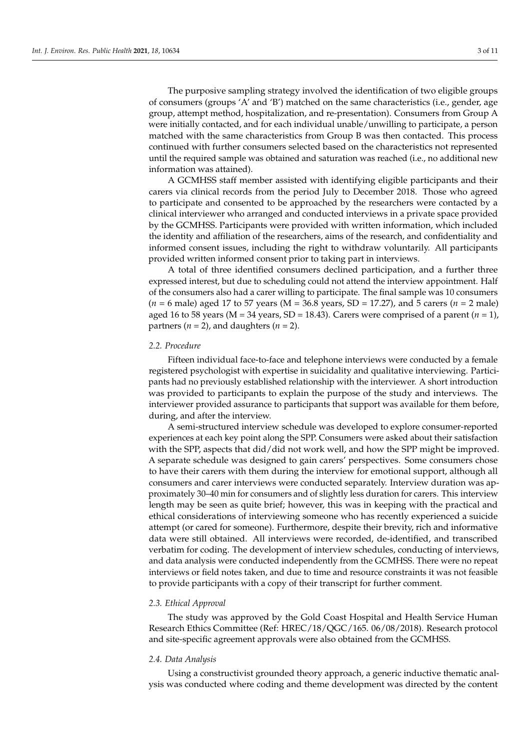The purposive sampling strategy involved the identification of two eligible groups of consumers (groups 'A' and 'B') matched on the same characteristics (i.e., gender, age group, attempt method, hospitalization, and re-presentation). Consumers from Group A were initially contacted, and for each individual unable/unwilling to participate, a person matched with the same characteristics from Group B was then contacted. This process continued with further consumers selected based on the characteristics not represented until the required sample was obtained and saturation was reached (i.e., no additional new information was attained).

A GCMHSS staff member assisted with identifying eligible participants and their carers via clinical records from the period July to December 2018. Those who agreed to participate and consented to be approached by the researchers were contacted by a clinical interviewer who arranged and conducted interviews in a private space provided by the GCMHSS. Participants were provided with written information, which included the identity and affiliation of the researchers, aims of the research, and confidentiality and informed consent issues, including the right to withdraw voluntarily. All participants provided written informed consent prior to taking part in interviews.

A total of three identified consumers declined participation, and a further three expressed interest, but due to scheduling could not attend the interview appointment. Half of the consumers also had a carer willing to participate. The final sample was 10 consumers (*n* = 6 male) aged 17 to 57 years (M = 36.8 years, SD = 17.27), and 5 carers (*n* = 2 male) aged 16 to 58 years ( $M = 34$  years,  $SD = 18.43$ ). Carers were comprised of a parent ( $n = 1$ ), partners  $(n = 2)$ , and daughters  $(n = 2)$ .

#### *2.2. Procedure*

Fifteen individual face-to-face and telephone interviews were conducted by a female registered psychologist with expertise in suicidality and qualitative interviewing. Participants had no previously established relationship with the interviewer. A short introduction was provided to participants to explain the purpose of the study and interviews. The interviewer provided assurance to participants that support was available for them before, during, and after the interview.

A semi-structured interview schedule was developed to explore consumer-reported experiences at each key point along the SPP. Consumers were asked about their satisfaction with the SPP, aspects that did/did not work well, and how the SPP might be improved. A separate schedule was designed to gain carers' perspectives. Some consumers chose to have their carers with them during the interview for emotional support, although all consumers and carer interviews were conducted separately. Interview duration was approximately 30–40 min for consumers and of slightly less duration for carers. This interview length may be seen as quite brief; however, this was in keeping with the practical and ethical considerations of interviewing someone who has recently experienced a suicide attempt (or cared for someone). Furthermore, despite their brevity, rich and informative data were still obtained. All interviews were recorded, de-identified, and transcribed verbatim for coding. The development of interview schedules, conducting of interviews, and data analysis were conducted independently from the GCMHSS. There were no repeat interviews or field notes taken, and due to time and resource constraints it was not feasible to provide participants with a copy of their transcript for further comment.

#### *2.3. Ethical Approval*

The study was approved by the Gold Coast Hospital and Health Service Human Research Ethics Committee (Ref: HREC/18/QGC/165. 06/08/2018). Research protocol and site-specific agreement approvals were also obtained from the GCMHSS.

#### *2.4. Data Analysis*

Using a constructivist grounded theory approach, a generic inductive thematic analysis was conducted where coding and theme development was directed by the content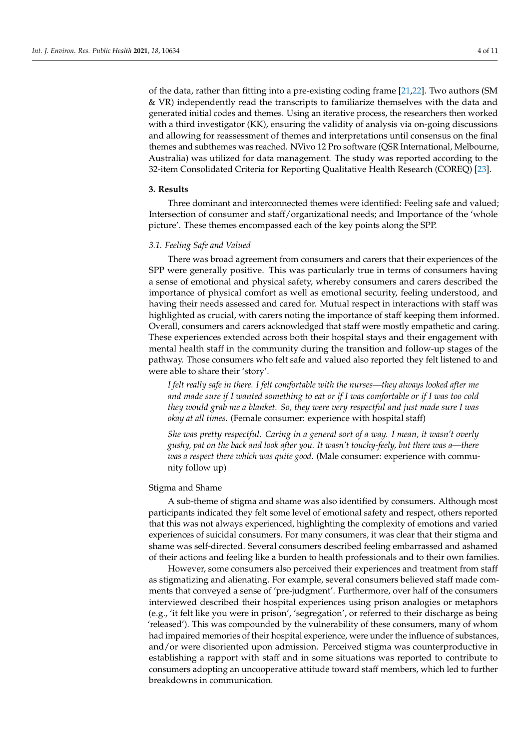of the data, rather than fitting into a pre-existing coding frame [\[21](#page-10-18)[,22\]](#page-10-19). Two authors (SM & VR) independently read the transcripts to familiarize themselves with the data and generated initial codes and themes. Using an iterative process, the researchers then worked with a third investigator (KK), ensuring the validity of analysis via on-going discussions and allowing for reassessment of themes and interpretations until consensus on the final themes and subthemes was reached. NVivo 12 Pro software (QSR International, Melbourne, Australia) was utilized for data management. The study was reported according to the 32-item Consolidated Criteria for Reporting Qualitative Health Research (COREQ) [\[23\]](#page-10-20).

#### **3. Results**

Three dominant and interconnected themes were identified: Feeling safe and valued; Intersection of consumer and staff/organizational needs; and Importance of the 'whole picture'. These themes encompassed each of the key points along the SPP.

#### *3.1. Feeling Safe and Valued*

There was broad agreement from consumers and carers that their experiences of the SPP were generally positive. This was particularly true in terms of consumers having a sense of emotional and physical safety, whereby consumers and carers described the importance of physical comfort as well as emotional security, feeling understood, and having their needs assessed and cared for. Mutual respect in interactions with staff was highlighted as crucial, with carers noting the importance of staff keeping them informed. Overall, consumers and carers acknowledged that staff were mostly empathetic and caring. These experiences extended across both their hospital stays and their engagement with mental health staff in the community during the transition and follow-up stages of the pathway. Those consumers who felt safe and valued also reported they felt listened to and were able to share their 'story'.

*I felt really safe in there. I felt comfortable with the nurses—they always looked after me and made sure if I wanted something to eat or if I was comfortable or if I was too cold they would grab me a blanket. So, they were very respectful and just made sure I was okay at all times.* (Female consumer: experience with hospital staff)

*She was pretty respectful. Caring in a general sort of a way. I mean, it wasn't overly gushy, pat on the back and look after you. It wasn't touchy-feely, but there was a—there was a respect there which was quite good.* (Male consumer: experience with community follow up)

#### Stigma and Shame

A sub-theme of stigma and shame was also identified by consumers. Although most participants indicated they felt some level of emotional safety and respect, others reported that this was not always experienced, highlighting the complexity of emotions and varied experiences of suicidal consumers. For many consumers, it was clear that their stigma and shame was self-directed. Several consumers described feeling embarrassed and ashamed of their actions and feeling like a burden to health professionals and to their own families.

However, some consumers also perceived their experiences and treatment from staff as stigmatizing and alienating. For example, several consumers believed staff made comments that conveyed a sense of 'pre-judgment'. Furthermore, over half of the consumers interviewed described their hospital experiences using prison analogies or metaphors (e.g., 'it felt like you were in prison', 'segregation', or referred to their discharge as being 'released'). This was compounded by the vulnerability of these consumers, many of whom had impaired memories of their hospital experience, were under the influence of substances, and/or were disoriented upon admission. Perceived stigma was counterproductive in establishing a rapport with staff and in some situations was reported to contribute to consumers adopting an uncooperative attitude toward staff members, which led to further breakdowns in communication.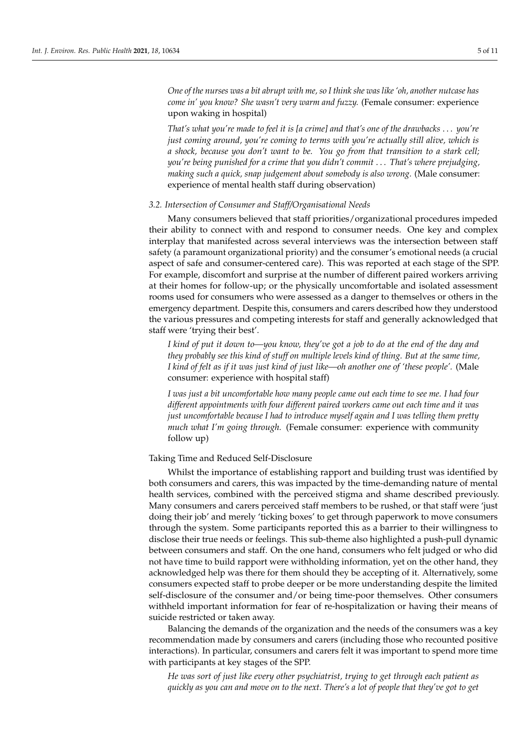*One of the nurses was a bit abrupt with me, so I think she was like 'oh, another nutcase has come in' you know? She wasn't very warm and fuzzy.* (Female consumer: experience upon waking in hospital)

*That's what you're made to feel it is [a crime] and that's one of the drawbacks* . . . *you're just coming around, you're coming to terms with you're actually still alive, which is a shock, because you don't want to be. You go from that transition to a stark cell; you're being punished for a crime that you didn't commit* . . . *That's where prejudging, making such a quick, snap judgement about somebody is also wrong.* (Male consumer: experience of mental health staff during observation)

#### *3.2. Intersection of Consumer and Staff/Organisational Needs*

Many consumers believed that staff priorities/organizational procedures impeded their ability to connect with and respond to consumer needs. One key and complex interplay that manifested across several interviews was the intersection between staff safety (a paramount organizational priority) and the consumer's emotional needs (a crucial aspect of safe and consumer-centered care). This was reported at each stage of the SPP. For example, discomfort and surprise at the number of different paired workers arriving at their homes for follow-up; or the physically uncomfortable and isolated assessment rooms used for consumers who were assessed as a danger to themselves or others in the emergency department. Despite this, consumers and carers described how they understood the various pressures and competing interests for staff and generally acknowledged that staff were 'trying their best'.

*I kind of put it down to—you know, they've got a job to do at the end of the day and they probably see this kind of stuff on multiple levels kind of thing. But at the same time, I kind of felt as if it was just kind of just like—oh another one of 'these people'.* (Male consumer: experience with hospital staff)

*I was just a bit uncomfortable how many people came out each time to see me. I had four different appointments with four different paired workers came out each time and it was just uncomfortable because I had to introduce myself again and I was telling them pretty much what I'm going through.* (Female consumer: experience with community follow up)

Taking Time and Reduced Self-Disclosure

Whilst the importance of establishing rapport and building trust was identified by both consumers and carers, this was impacted by the time-demanding nature of mental health services, combined with the perceived stigma and shame described previously. Many consumers and carers perceived staff members to be rushed, or that staff were 'just doing their job' and merely 'ticking boxes' to get through paperwork to move consumers through the system. Some participants reported this as a barrier to their willingness to disclose their true needs or feelings. This sub-theme also highlighted a push-pull dynamic between consumers and staff. On the one hand, consumers who felt judged or who did not have time to build rapport were withholding information, yet on the other hand, they acknowledged help was there for them should they be accepting of it. Alternatively, some consumers expected staff to probe deeper or be more understanding despite the limited self-disclosure of the consumer and/or being time-poor themselves. Other consumers withheld important information for fear of re-hospitalization or having their means of suicide restricted or taken away.

Balancing the demands of the organization and the needs of the consumers was a key recommendation made by consumers and carers (including those who recounted positive interactions). In particular, consumers and carers felt it was important to spend more time with participants at key stages of the SPP.

*He was sort of just like every other psychiatrist, trying to get through each patient as quickly as you can and move on to the next. There's a lot of people that they've got to get*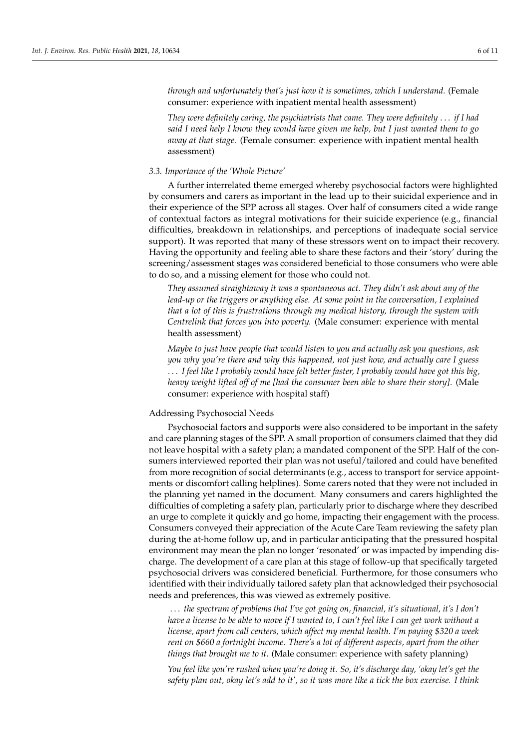*through and unfortunately that's just how it is sometimes, which I understand.* (Female consumer: experience with inpatient mental health assessment)

*They were definitely caring, the psychiatrists that came. They were definitely* . . . *if I had said I need help I know they would have given me help, but I just wanted them to go away at that stage.* (Female consumer: experience with inpatient mental health assessment)

#### *3.3. Importance of the 'Whole Picture'*

A further interrelated theme emerged whereby psychosocial factors were highlighted by consumers and carers as important in the lead up to their suicidal experience and in their experience of the SPP across all stages. Over half of consumers cited a wide range of contextual factors as integral motivations for their suicide experience (e.g., financial difficulties, breakdown in relationships, and perceptions of inadequate social service support). It was reported that many of these stressors went on to impact their recovery. Having the opportunity and feeling able to share these factors and their 'story' during the screening/assessment stages was considered beneficial to those consumers who were able to do so, and a missing element for those who could not.

*They assumed straightaway it was a spontaneous act. They didn't ask about any of the lead-up or the triggers or anything else. At some point in the conversation, I explained that a lot of this is frustrations through my medical history, through the system with Centrelink that forces you into poverty.* (Male consumer: experience with mental health assessment)

*Maybe to just have people that would listen to you and actually ask you questions, ask you why you're there and why this happened, not just how, and actually care I guess* . . . *I feel like I probably would have felt better faster, I probably would have got this big, heavy weight lifted off of me [had the consumer been able to share their story].* (Male consumer: experience with hospital staff)

#### Addressing Psychosocial Needs

Psychosocial factors and supports were also considered to be important in the safety and care planning stages of the SPP. A small proportion of consumers claimed that they did not leave hospital with a safety plan; a mandated component of the SPP. Half of the consumers interviewed reported their plan was not useful/tailored and could have benefited from more recognition of social determinants (e.g., access to transport for service appointments or discomfort calling helplines). Some carers noted that they were not included in the planning yet named in the document. Many consumers and carers highlighted the difficulties of completing a safety plan, particularly prior to discharge where they described an urge to complete it quickly and go home, impacting their engagement with the process. Consumers conveyed their appreciation of the Acute Care Team reviewing the safety plan during the at-home follow up, and in particular anticipating that the pressured hospital environment may mean the plan no longer 'resonated' or was impacted by impending discharge. The development of a care plan at this stage of follow-up that specifically targeted psychosocial drivers was considered beneficial. Furthermore, for those consumers who identified with their individually tailored safety plan that acknowledged their psychosocial needs and preferences, this was viewed as extremely positive.

. . . *the spectrum of problems that I've got going on, financial, it's situational, it's I don't have a license to be able to move if I wanted to, I can't feel like I can get work without a license, apart from call centers, which affect my mental health. I'm paying \$320 a week rent on \$660 a fortnight income. There's a lot of different aspects, apart from the other things that brought me to it.* (Male consumer: experience with safety planning)

*You feel like you're rushed when you're doing it. So, it's discharge day, 'okay let's get the safety plan out, okay let's add to it', so it was more like a tick the box exercise. I think*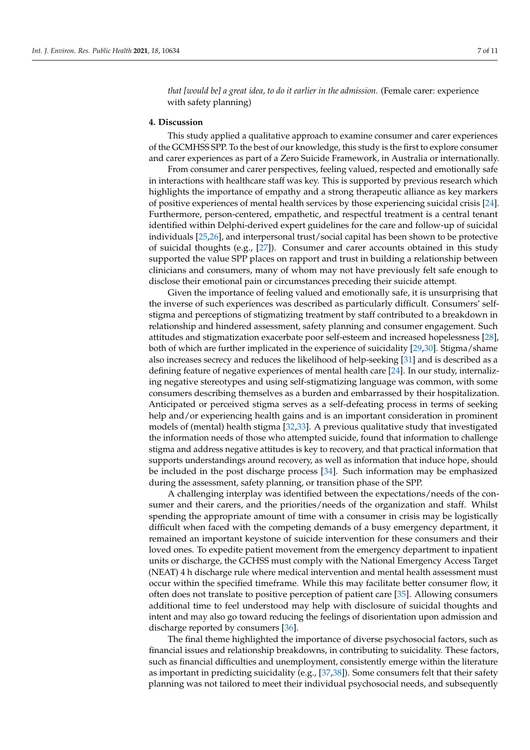*that [would be] a great idea, to do it earlier in the admission.* (Female carer: experience with safety planning)

#### **4. Discussion**

This study applied a qualitative approach to examine consumer and carer experiences of the GCMHSS SPP. To the best of our knowledge, this study is the first to explore consumer and carer experiences as part of a Zero Suicide Framework, in Australia or internationally.

From consumer and carer perspectives, feeling valued, respected and emotionally safe in interactions with healthcare staff was key. This is supported by previous research which highlights the importance of empathy and a strong therapeutic alliance as key markers of positive experiences of mental health services by those experiencing suicidal crisis [\[24\]](#page-10-21). Furthermore, person-centered, empathetic, and respectful treatment is a central tenant identified within Delphi-derived expert guidelines for the care and follow-up of suicidal individuals [\[25,](#page-10-22)[26\]](#page-10-23), and interpersonal trust/social capital has been shown to be protective of suicidal thoughts (e.g., [\[27\]](#page-10-24)). Consumer and carer accounts obtained in this study supported the value SPP places on rapport and trust in building a relationship between clinicians and consumers, many of whom may not have previously felt safe enough to disclose their emotional pain or circumstances preceding their suicide attempt.

Given the importance of feeling valued and emotionally safe, it is unsurprising that the inverse of such experiences was described as particularly difficult. Consumers' selfstigma and perceptions of stigmatizing treatment by staff contributed to a breakdown in relationship and hindered assessment, safety planning and consumer engagement. Such attitudes and stigmatization exacerbate poor self-esteem and increased hopelessness [\[28\]](#page-10-25), both of which are further implicated in the experience of suicidality [\[29,](#page-11-0)[30\]](#page-11-1). Stigma/shame also increases secrecy and reduces the likelihood of help-seeking [\[31\]](#page-11-2) and is described as a defining feature of negative experiences of mental health care [\[24\]](#page-10-21). In our study, internalizing negative stereotypes and using self-stigmatizing language was common, with some consumers describing themselves as a burden and embarrassed by their hospitalization. Anticipated or perceived stigma serves as a self-defeating process in terms of seeking help and/or experiencing health gains and is an important consideration in prominent models of (mental) health stigma [\[32,](#page-11-3)[33\]](#page-11-4). A previous qualitative study that investigated the information needs of those who attempted suicide, found that information to challenge stigma and address negative attitudes is key to recovery, and that practical information that supports understandings around recovery, as well as information that induce hope, should be included in the post discharge process [\[34\]](#page-11-5). Such information may be emphasized during the assessment, safety planning, or transition phase of the SPP.

A challenging interplay was identified between the expectations/needs of the consumer and their carers, and the priorities/needs of the organization and staff. Whilst spending the appropriate amount of time with a consumer in crisis may be logistically difficult when faced with the competing demands of a busy emergency department, it remained an important keystone of suicide intervention for these consumers and their loved ones. To expedite patient movement from the emergency department to inpatient units or discharge, the GCHSS must comply with the National Emergency Access Target (NEAT) 4 h discharge rule where medical intervention and mental health assessment must occur within the specified timeframe. While this may facilitate better consumer flow, it often does not translate to positive perception of patient care [\[35\]](#page-11-6). Allowing consumers additional time to feel understood may help with disclosure of suicidal thoughts and intent and may also go toward reducing the feelings of disorientation upon admission and discharge reported by consumers [\[36\]](#page-11-7).

The final theme highlighted the importance of diverse psychosocial factors, such as financial issues and relationship breakdowns, in contributing to suicidality. These factors, such as financial difficulties and unemployment, consistently emerge within the literature as important in predicting suicidality (e.g., [\[37](#page-11-8)[,38\]](#page-11-9)). Some consumers felt that their safety planning was not tailored to meet their individual psychosocial needs, and subsequently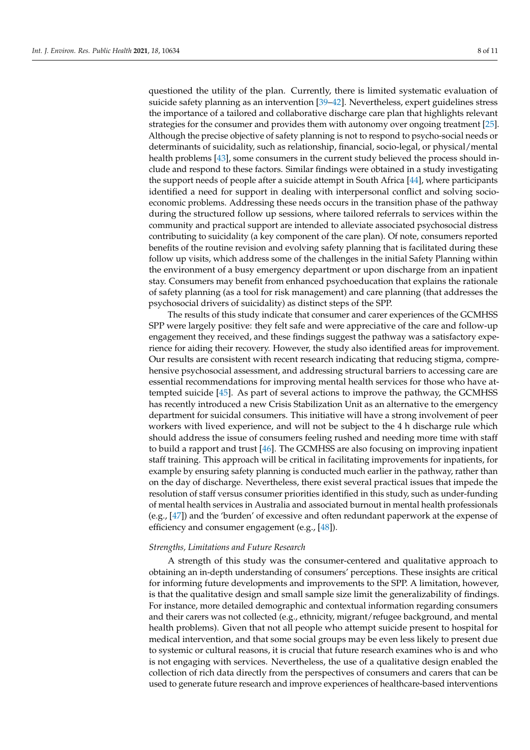questioned the utility of the plan. Currently, there is limited systematic evaluation of suicide safety planning as an intervention [\[39](#page-11-10)[–42\]](#page-11-11). Nevertheless, expert guidelines stress the importance of a tailored and collaborative discharge care plan that highlights relevant strategies for the consumer and provides them with autonomy over ongoing treatment [\[25\]](#page-10-22). Although the precise objective of safety planning is not to respond to psycho-social needs or determinants of suicidality, such as relationship, financial, socio-legal, or physical/mental health problems [\[43\]](#page-11-12), some consumers in the current study believed the process should include and respond to these factors. Similar findings were obtained in a study investigating the support needs of people after a suicide attempt in South Africa [\[44\]](#page-11-13), where participants identified a need for support in dealing with interpersonal conflict and solving socioeconomic problems. Addressing these needs occurs in the transition phase of the pathway during the structured follow up sessions, where tailored referrals to services within the community and practical support are intended to alleviate associated psychosocial distress contributing to suicidality (a key component of the care plan). Of note, consumers reported benefits of the routine revision and evolving safety planning that is facilitated during these follow up visits, which address some of the challenges in the initial Safety Planning within the environment of a busy emergency department or upon discharge from an inpatient stay. Consumers may benefit from enhanced psychoeducation that explains the rationale of safety planning (as a tool for risk management) and care planning (that addresses the psychosocial drivers of suicidality) as distinct steps of the SPP.

The results of this study indicate that consumer and carer experiences of the GCMHSS SPP were largely positive: they felt safe and were appreciative of the care and follow-up engagement they received, and these findings suggest the pathway was a satisfactory experience for aiding their recovery. However, the study also identified areas for improvement. Our results are consistent with recent research indicating that reducing stigma, comprehensive psychosocial assessment, and addressing structural barriers to accessing care are essential recommendations for improving mental health services for those who have attempted suicide [\[45\]](#page-11-14). As part of several actions to improve the pathway, the GCMHSS has recently introduced a new Crisis Stabilization Unit as an alternative to the emergency department for suicidal consumers. This initiative will have a strong involvement of peer workers with lived experience, and will not be subject to the 4 h discharge rule which should address the issue of consumers feeling rushed and needing more time with staff to build a rapport and trust [\[46\]](#page-11-15). The GCMHSS are also focusing on improving inpatient staff training. This approach will be critical in facilitating improvements for inpatients, for example by ensuring safety planning is conducted much earlier in the pathway, rather than on the day of discharge. Nevertheless, there exist several practical issues that impede the resolution of staff versus consumer priorities identified in this study, such as under-funding of mental health services in Australia and associated burnout in mental health professionals (e.g., [\[47\]](#page-11-16)) and the 'burden' of excessive and often redundant paperwork at the expense of efficiency and consumer engagement (e.g., [\[48\]](#page-11-17)).

#### *Strengths, Limitations and Future Research*

A strength of this study was the consumer-centered and qualitative approach to obtaining an in-depth understanding of consumers' perceptions. These insights are critical for informing future developments and improvements to the SPP. A limitation, however, is that the qualitative design and small sample size limit the generalizability of findings. For instance, more detailed demographic and contextual information regarding consumers and their carers was not collected (e.g., ethnicity, migrant/refugee background, and mental health problems). Given that not all people who attempt suicide present to hospital for medical intervention, and that some social groups may be even less likely to present due to systemic or cultural reasons, it is crucial that future research examines who is and who is not engaging with services. Nevertheless, the use of a qualitative design enabled the collection of rich data directly from the perspectives of consumers and carers that can be used to generate future research and improve experiences of healthcare-based interventions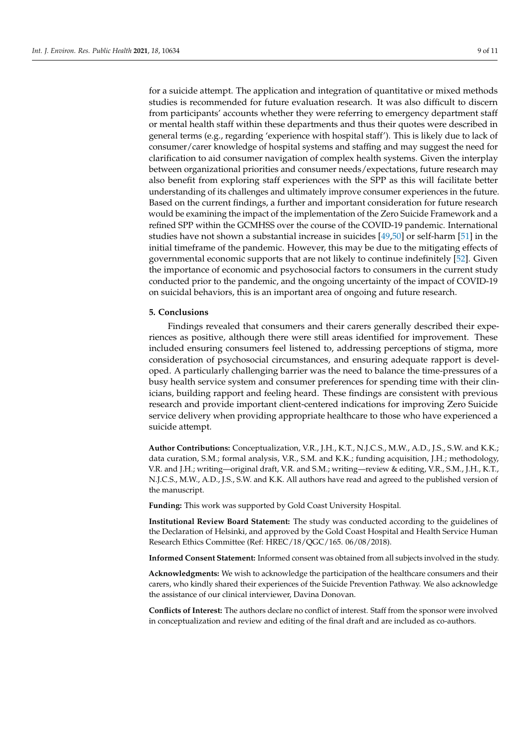for a suicide attempt. The application and integration of quantitative or mixed methods studies is recommended for future evaluation research. It was also difficult to discern from participants' accounts whether they were referring to emergency department staff or mental health staff within these departments and thus their quotes were described in general terms (e.g., regarding 'experience with hospital staff'). This is likely due to lack of consumer/carer knowledge of hospital systems and staffing and may suggest the need for clarification to aid consumer navigation of complex health systems. Given the interplay between organizational priorities and consumer needs/expectations, future research may also benefit from exploring staff experiences with the SPP as this will facilitate better understanding of its challenges and ultimately improve consumer experiences in the future. Based on the current findings, a further and important consideration for future research would be examining the impact of the implementation of the Zero Suicide Framework and a refined SPP within the GCMHSS over the course of the COVID-19 pandemic. International studies have not shown a substantial increase in suicides [\[49,](#page-11-18)[50\]](#page-11-19) or self-harm [\[51\]](#page-11-20) in the initial timeframe of the pandemic. However, this may be due to the mitigating effects of governmental economic supports that are not likely to continue indefinitely [\[52\]](#page-11-21). Given the importance of economic and psychosocial factors to consumers in the current study conducted prior to the pandemic, and the ongoing uncertainty of the impact of COVID-19 on suicidal behaviors, this is an important area of ongoing and future research.

#### **5. Conclusions**

Findings revealed that consumers and their carers generally described their experiences as positive, although there were still areas identified for improvement. These included ensuring consumers feel listened to, addressing perceptions of stigma, more consideration of psychosocial circumstances, and ensuring adequate rapport is developed. A particularly challenging barrier was the need to balance the time-pressures of a busy health service system and consumer preferences for spending time with their clinicians, building rapport and feeling heard. These findings are consistent with previous research and provide important client-centered indications for improving Zero Suicide service delivery when providing appropriate healthcare to those who have experienced a suicide attempt.

**Author Contributions:** Conceptualization, V.R., J.H., K.T., N.J.C.S., M.W., A.D., J.S., S.W. and K.K.; data curation, S.M.; formal analysis, V.R., S.M. and K.K.; funding acquisition, J.H.; methodology, V.R. and J.H.; writing—original draft, V.R. and S.M.; writing—review & editing, V.R., S.M., J.H., K.T., N.J.C.S., M.W., A.D., J.S., S.W. and K.K. All authors have read and agreed to the published version of the manuscript.

**Funding:** This work was supported by Gold Coast University Hospital.

**Institutional Review Board Statement:** The study was conducted according to the guidelines of the Declaration of Helsinki, and approved by the Gold Coast Hospital and Health Service Human Research Ethics Committee (Ref: HREC/18/QGC/165. 06/08/2018).

**Informed Consent Statement:** Informed consent was obtained from all subjects involved in the study.

**Acknowledgments:** We wish to acknowledge the participation of the healthcare consumers and their carers, who kindly shared their experiences of the Suicide Prevention Pathway. We also acknowledge the assistance of our clinical interviewer, Davina Donovan.

**Conflicts of Interest:** The authors declare no conflict of interest. Staff from the sponsor were involved in conceptualization and review and editing of the final draft and are included as co-authors.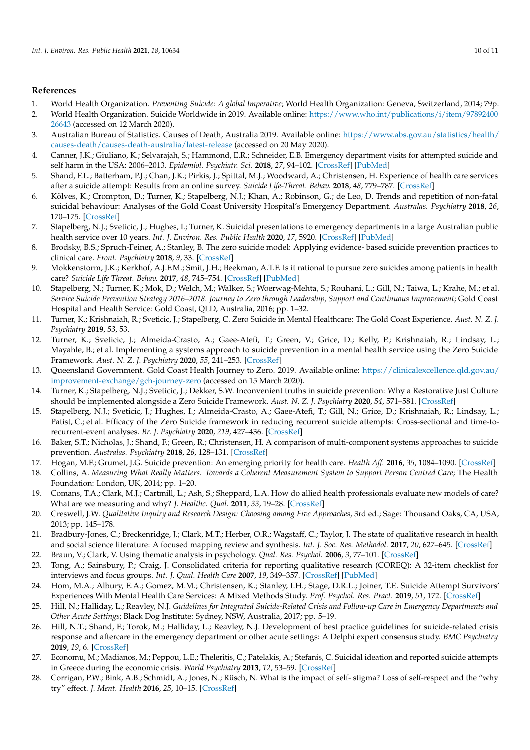#### **References**

- <span id="page-10-0"></span>1. World Health Organization. *Preventing Suicide: A global Imperative*; World Health Organization: Geneva, Switzerland, 2014; 79p.
- <span id="page-10-1"></span>2. World Health Organization. Suicide Worldwide in 2019. Available online: [https://www.who.int/publications/i/item/97892400](https://www.who.int/publications/i/item/9789240026643) [26643](https://www.who.int/publications/i/item/9789240026643) (accessed on 12 March 2020).
- <span id="page-10-2"></span>3. Australian Bureau of Statistics. Causes of Death, Australia 2019. Available online: [https://www.abs.gov.au/statistics/health/](https://www.abs.gov.au/statistics/health/causes-death/causes-death-australia/latest-release) [causes-death/causes-death-australia/latest-release](https://www.abs.gov.au/statistics/health/causes-death/causes-death-australia/latest-release) (accessed on 20 May 2020).
- <span id="page-10-3"></span>4. Canner, J.K.; Giuliano, K.; Selvarajah, S.; Hammond, E.R.; Schneider, E.B. Emergency department visits for attempted suicide and self harm in the USA: 2006–2013. *Epidemiol. Psychiatr. Sci.* **2018**, *27*, 94–102. [\[CrossRef\]](http://doi.org/10.1017/S2045796016000871) [\[PubMed\]](http://www.ncbi.nlm.nih.gov/pubmed/27852333)
- <span id="page-10-4"></span>5. Shand, F.L.; Batterham, P.J.; Chan, J.K.; Pirkis, J.; Spittal, M.J.; Woodward, A.; Christensen, H. Experience of health care services after a suicide attempt: Results from an online survey. *Suicide Life-Threat. Behav.* **2018**, *48*, 779–787. [\[CrossRef\]](http://doi.org/10.1111/sltb.12399)
- <span id="page-10-5"></span>6. Kõlves, K.; Crompton, D.; Turner, K.; Stapelberg, N.J.; Khan, A.; Robinson, G.; de Leo, D. Trends and repetition of non-fatal suicidal behaviour: Analyses of the Gold Coast University Hospital's Emergency Department. *Australas. Psychiatry* **2018**, *26*, 170–175. [\[CrossRef\]](http://doi.org/10.1177/1039856217749059)
- <span id="page-10-6"></span>7. Stapelberg, N.J.; Sveticic, J.; Hughes, I.; Turner, K. Suicidal presentations to emergency departments in a large Australian public health service over 10 years. *Int. J. Environ. Res. Public Health* **2020**, *17*, 5920. [\[CrossRef\]](http://doi.org/10.3390/ijerph17165920) [\[PubMed\]](http://www.ncbi.nlm.nih.gov/pubmed/32824052)
- <span id="page-10-7"></span>8. Brodsky, B.S.; Spruch-Feiner, A.; Stanley, B. The zero suicide model: Applying evidence- based suicide prevention practices to clinical care. *Front. Psychiatry* **2018**, *9*, 33. [\[CrossRef\]](http://doi.org/10.3389/fpsyt.2018.00033)
- <span id="page-10-8"></span>9. Mokkenstorm, J.K.; Kerkhof, A.J.F.M.; Smit, J.H.; Beekman, A.T.F. Is it rational to pursue zero suicides among patients in health care? *Suicide Life Threat. Behav.* **2017**, *48*, 745–754. [\[CrossRef\]](http://doi.org/10.1111/sltb.12396) [\[PubMed\]](http://www.ncbi.nlm.nih.gov/pubmed/29073324)
- <span id="page-10-9"></span>10. Stapelberg, N.; Turner, K.; Mok, D.; Welch, M.; Walker, S.; Woerwag-Mehta, S.; Rouhani, L.; Gill, N.; Taiwa, L.; Krahe, M.; et al. *Service Suicide Prevention Strategy 2016–2018. Journey to Zero through Leadership, Support and Continuous Improvement*; Gold Coast Hospital and Health Service: Gold Coast, QLD, Australia, 2016; pp. 1–32.
- 11. Turner, K.; Krishnaiah, R.; Sveticic, J.; Stapelberg, C. Zero Suicide in Mental Healthcare: The Gold Coast Experience. *Aust. N. Z. J. Psychiatry* **2019**, *53*, 53.
- 12. Turner, K.; Sveticic, J.; Almeida-Crasto, A.; Gaee-Atefi, T.; Green, V.; Grice, D.; Kelly, P.; Krishnaiah, R.; Lindsay, L.; Mayahle, B.; et al. Implementing a systems approach to suicide prevention in a mental health service using the Zero Suicide Framework. *Aust. N. Z. J. Psychiatry* **2020**, *55*, 241–253. [\[CrossRef\]](http://doi.org/10.1177/0004867420971698)
- <span id="page-10-10"></span>13. Queensland Government. Gold Coast Health Journey to Zero. 2019. Available online: [https://clinicalexcellence.qld.gov.au/](https://clinicalexcellence.qld.gov.au/improvement-exchange/gch-journey-zero) [improvement-exchange/gch-journey-zero](https://clinicalexcellence.qld.gov.au/improvement-exchange/gch-journey-zero) (accessed on 15 March 2020).
- <span id="page-10-11"></span>14. Turner, K.; Stapelberg, N.J.; Sveticic, J.; Dekker, S.W. Inconvenient truths in suicide prevention: Why a Restorative Just Culture should be implemented alongside a Zero Suicide Framework. *Aust. N. Z. J. Psychiatry* **2020**, *54*, 571–581. [\[CrossRef\]](http://doi.org/10.1177/0004867420918659)
- <span id="page-10-12"></span>15. Stapelberg, N.J.; Sveticic, J.; Hughes, I.; Almeida-Crasto, A.; Gaee-Atefi, T.; Gill, N.; Grice, D.; Krishnaiah, R.; Lindsay, L.; Patist, C.; et al. Efficacy of the Zero Suicide framework in reducing recurrent suicide attempts: Cross-sectional and time-torecurrent-event analyses. *Br. J. Psychiatry* **2020**, *219*, 427–436. [\[CrossRef\]](http://doi.org/10.1192/bjp.2020.190)
- <span id="page-10-13"></span>16. Baker, S.T.; Nicholas, J.; Shand, F.; Green, R.; Christensen, H. A comparison of multi-component systems approaches to suicide prevention. *Australas. Psychiatry* **2018**, *26*, 128–131. [\[CrossRef\]](http://doi.org/10.1177/1039856217743888)
- <span id="page-10-14"></span>17. Hogan, M.F.; Grumet, J.G. Suicide prevention: An emerging priority for health care. *Health Aff.* **2016**, *35*, 1084–1090. [\[CrossRef\]](http://doi.org/10.1377/hlthaff.2015.1672)
- <span id="page-10-15"></span>18. Collins, A. *Measuring What Really Matters. Towards a Coherent Measurement System to Support Person Centred Care*; The Health Foundation: London, UK, 2014; pp. 1–20.
- <span id="page-10-16"></span>19. Comans, T.A.; Clark, M.J.; Cartmill, L.; Ash, S.; Sheppard, L.A. How do allied health professionals evaluate new models of care? What are we measuring and why? *J. Healthc. Qual.* **2011**, *33*, 19–28. [\[CrossRef\]](http://doi.org/10.1111/j.1945-1474.2011.00152.x)
- <span id="page-10-17"></span>20. Creswell, J.W. *Qualitative Inquiry and Research Design: Choosing among Five Approaches*, 3rd ed.; Sage: Thousand Oaks, CA, USA, 2013; pp. 145–178.
- <span id="page-10-18"></span>21. Bradbury-Jones, C.; Breckenridge, J.; Clark, M.T.; Herber, O.R.; Wagstaff, C.; Taylor, J. The state of qualitative research in health and social science literature: A focused mapping review and synthesis. *Int. J. Soc. Res. Methodol.* **2017**, *20*, 627–645. [\[CrossRef\]](http://doi.org/10.1080/13645579.2016.1270583)
- <span id="page-10-19"></span>22. Braun, V.; Clark, V. Using thematic analysis in psychology. *Qual. Res. Psychol.* **2006**, *3*, 77–101. [\[CrossRef\]](http://doi.org/10.1191/1478088706qp063oa)
- <span id="page-10-20"></span>23. Tong, A.; Sainsbury, P.; Craig, J. Consolidated criteria for reporting qualitative research (COREQ): A 32-item checklist for interviews and focus groups. *Int. J. Qual. Health Care* **2007**, *19*, 349–357. [\[CrossRef\]](http://doi.org/10.1093/intqhc/mzm042) [\[PubMed\]](http://www.ncbi.nlm.nih.gov/pubmed/17872937)
- <span id="page-10-21"></span>24. Hom, M.A.; Albury, E.A.; Gomez, M.M.; Christensen, K.; Stanley, I.H.; Stage, D.R.L.; Joiner, T.E. Suicide Attempt Survivors' Experiences With Mental Health Care Services: A Mixed Methods Study. *Prof. Psychol. Res. Pract.* **2019**, *51*, 172. [\[CrossRef\]](http://doi.org/10.1037/pro0000265)
- <span id="page-10-22"></span>25. Hill, N.; Halliday, L.; Reavley, N.J. *Guidelines for Integrated Suicide-Related Crisis and Follow-up Care in Emergency Departments and Other Acute Settings*; Black Dog Institute: Sydney, NSW, Australia, 2017; pp. 5–19.
- <span id="page-10-23"></span>26. Hill, N.T.; Shand, F.; Torok, M.; Halliday, L.; Reavley, N.J. Development of best practice guidelines for suicide-related crisis response and aftercare in the emergency department or other acute settings: A Delphi expert consensus study. *BMC Psychiatry* **2019**, *19*, 6. [\[CrossRef\]](http://doi.org/10.1186/s12888-018-1995-1)
- <span id="page-10-24"></span>27. Economu, M.; Madianos, M.; Peppou, L.E.; Theleritis, C.; Patelakis, A.; Stefanis, C. Suicidal ideation and reported suicide attempts in Greece during the economic crisis. *World Psychiatry* **2013**, *12*, 53–59. [\[CrossRef\]](http://doi.org/10.1002/wps.20016)
- <span id="page-10-25"></span>28. Corrigan, P.W.; Bink, A.B.; Schmidt, A.; Jones, N.; Rüsch, N. What is the impact of self- stigma? Loss of self-respect and the "why try" effect. *J. Ment. Health* **2016**, *25*, 10–15. [\[CrossRef\]](http://doi.org/10.3109/09638237.2015.1021902)